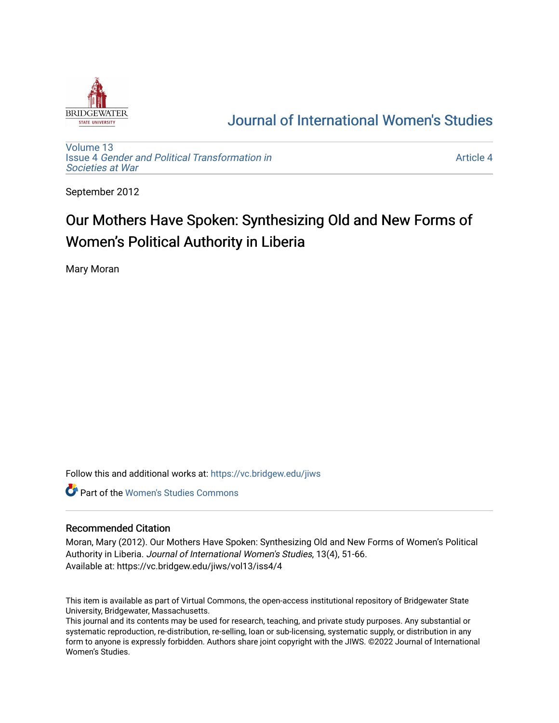

## [Journal of International Women's Studies](https://vc.bridgew.edu/jiws)

[Volume 13](https://vc.bridgew.edu/jiws/vol13) Issue 4 [Gender and Political Transformation in](https://vc.bridgew.edu/jiws/vol13/iss4) [Societies at War](https://vc.bridgew.edu/jiws/vol13/iss4)

[Article 4](https://vc.bridgew.edu/jiws/vol13/iss4/4) 

September 2012

# Our Mothers Have Spoken: Synthesizing Old and New Forms of Women's Political Authority in Liberia

Mary Moran

Follow this and additional works at: [https://vc.bridgew.edu/jiws](https://vc.bridgew.edu/jiws?utm_source=vc.bridgew.edu%2Fjiws%2Fvol13%2Fiss4%2F4&utm_medium=PDF&utm_campaign=PDFCoverPages)

**C** Part of the Women's Studies Commons

#### Recommended Citation

Moran, Mary (2012). Our Mothers Have Spoken: Synthesizing Old and New Forms of Women's Political Authority in Liberia. Journal of International Women's Studies, 13(4), 51-66. Available at: https://vc.bridgew.edu/jiws/vol13/iss4/4

This item is available as part of Virtual Commons, the open-access institutional repository of Bridgewater State University, Bridgewater, Massachusetts.

This journal and its contents may be used for research, teaching, and private study purposes. Any substantial or systematic reproduction, re-distribution, re-selling, loan or sub-licensing, systematic supply, or distribution in any form to anyone is expressly forbidden. Authors share joint copyright with the JIWS. ©2022 Journal of International Women's Studies.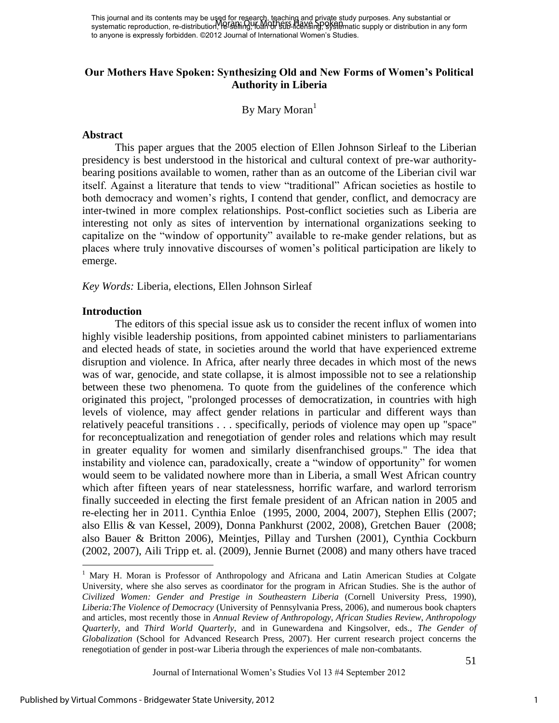This journal and its contents may be used for research, teaching and private study purposes. Any substantial or This journal and its contents may be aged for respectively. The limit and private study parposes. Any substantial or<br>systematic reproduction, re-distribution, leftering, holding the hearsing, systematic supply or distribut to anyone is expressly forbidden. ©2012 Journal of International Women's Studies.

## **Our Mothers Have Spoken: Synthesizing Old and New Forms of Women's Political Authority in Liberia**

By Mary Moran $<sup>1</sup>$ </sup>

#### **Abstract**

This paper argues that the 2005 election of Ellen Johnson Sirleaf to the Liberian presidency is best understood in the historical and cultural context of pre-war authoritybearing positions available to women, rather than as an outcome of the Liberian civil war itself. Against a literature that tends to view "traditional" African societies as hostile to both democracy and women's rights, I contend that gender, conflict, and democracy are inter-twined in more complex relationships. Post-conflict societies such as Liberia are interesting not only as sites of intervention by international organizations seeking to capitalize on the "window of opportunity" available to re-make gender relations, but as places where truly innovative discourses of women"s political participation are likely to emerge.

*Key Words:* Liberia, elections, Ellen Johnson Sirleaf

#### **Introduction**

 $\overline{a}$ 

The editors of this special issue ask us to consider the recent influx of women into highly visible leadership positions, from appointed cabinet ministers to parliamentarians and elected heads of state, in societies around the world that have experienced extreme disruption and violence. In Africa, after nearly three decades in which most of the news was of war, genocide, and state collapse, it is almost impossible not to see a relationship between these two phenomena. To quote from the guidelines of the conference which originated this project, "prolonged processes of democratization, in countries with high levels of violence, may affect gender relations in particular and different ways than relatively peaceful transitions . . . specifically, periods of violence may open up "space" for reconceptualization and renegotiation of gender roles and relations which may result in greater equality for women and similarly disenfranchised groups." The idea that instability and violence can, paradoxically, create a "window of opportunity" for women would seem to be validated nowhere more than in Liberia, a small West African country which after fifteen years of near statelessness, horrific warfare, and warlord terrorism finally succeeded in electing the first female president of an African nation in 2005 and re-electing her in 2011. Cynthia Enloe (1995, 2000, 2004, 2007), Stephen Ellis (2007; also Ellis & van Kessel, 2009), Donna Pankhurst (2002, 2008), Gretchen Bauer (2008; also Bauer & Britton 2006), Meintjes, Pillay and Turshen (2001), Cynthia Cockburn (2002, 2007), Aili Tripp et. al. (2009), Jennie Burnet (2008) and many others have traced

<sup>&</sup>lt;sup>1</sup> Mary H. Moran is Professor of Anthropology and Africana and Latin American Studies at Colgate University, where she also serves as coordinator for the program in African Studies. She is the author of *Civilized Women: Gender and Prestige in Southeastern Liberia* (Cornell University Press, 1990), *Liberia:The Violence of Democracy* (University of Pennsylvania Press, 2006), and numerous book chapters and articles, most recently those in *Annual Review of Anthropology, African Studies Review, Anthropology Quarterly,* and *Third World Quarterly*, and in Gunewardena and Kingsolver, eds., *The Gender of Globalization* (School for Advanced Research Press, 2007)*.* Her current research project concerns the renegotiation of gender in post-war Liberia through the experiences of male non-combatants.

Journal of International Women"s Studies Vol 13 #4 September 2012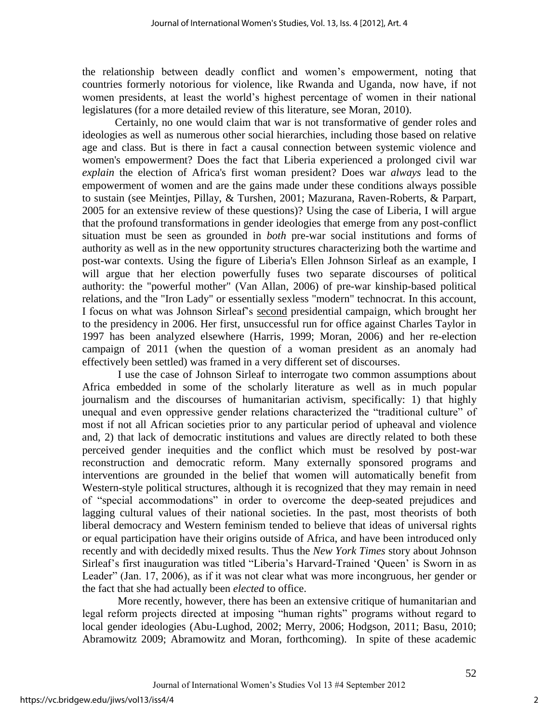the relationship between deadly conflict and women"s empowerment, noting that countries formerly notorious for violence, like Rwanda and Uganda, now have, if not women presidents, at least the world"s highest percentage of women in their national legislatures (for a more detailed review of this literature, see Moran, 2010).

Certainly, no one would claim that war is not transformative of gender roles and ideologies as well as numerous other social hierarchies, including those based on relative age and class. But is there in fact a causal connection between systemic violence and women's empowerment? Does the fact that Liberia experienced a prolonged civil war *explain* the election of Africa's first woman president? Does war *always* lead to the empowerment of women and are the gains made under these conditions always possible to sustain (see Meintjes, Pillay, & Turshen, 2001; Mazurana, Raven-Roberts, & Parpart, 2005 for an extensive review of these questions)? Using the case of Liberia, I will argue that the profound transformations in gender ideologies that emerge from any post-conflict situation must be seen as grounded in *both* pre-war social institutions and forms of authority as well as in the new opportunity structures characterizing both the wartime and post-war contexts. Using the figure of Liberia's Ellen Johnson Sirleaf as an example, I will argue that her election powerfully fuses two separate discourses of political authority: the "powerful mother" (Van Allan, 2006) of pre-war kinship-based political relations, and the "Iron Lady" or essentially sexless "modern" technocrat. In this account, I focus on what was Johnson Sirleaf"s second presidential campaign, which brought her to the presidency in 2006. Her first, unsuccessful run for office against Charles Taylor in 1997 has been analyzed elsewhere (Harris, 1999; Moran, 2006) and her re-election campaign of 2011 (when the question of a woman president as an anomaly had effectively been settled) was framed in a very different set of discourses.

I use the case of Johnson Sirleaf to interrogate two common assumptions about Africa embedded in some of the scholarly literature as well as in much popular journalism and the discourses of humanitarian activism, specifically: 1) that highly unequal and even oppressive gender relations characterized the "traditional culture" of most if not all African societies prior to any particular period of upheaval and violence and, 2) that lack of democratic institutions and values are directly related to both these perceived gender inequities and the conflict which must be resolved by post-war reconstruction and democratic reform. Many externally sponsored programs and interventions are grounded in the belief that women will automatically benefit from Western-style political structures, although it is recognized that they may remain in need of "special accommodations" in order to overcome the deep-seated prejudices and lagging cultural values of their national societies. In the past, most theorists of both liberal democracy and Western feminism tended to believe that ideas of universal rights or equal participation have their origins outside of Africa, and have been introduced only recently and with decidedly mixed results. Thus the *New York Times* story about Johnson Sirleaf's first inauguration was titled "Liberia's Harvard-Trained 'Queen' is Sworn in as Leader" (Jan. 17, 2006), as if it was not clear what was more incongruous, her gender or the fact that she had actually been *elected* to office.

More recently, however, there has been an extensive critique of humanitarian and legal reform projects directed at imposing "human rights" programs without regard to local gender ideologies (Abu-Lughod, 2002; Merry, 2006; Hodgson, 2011; Basu, 2010; Abramowitz 2009; Abramowitz and Moran, forthcoming). In spite of these academic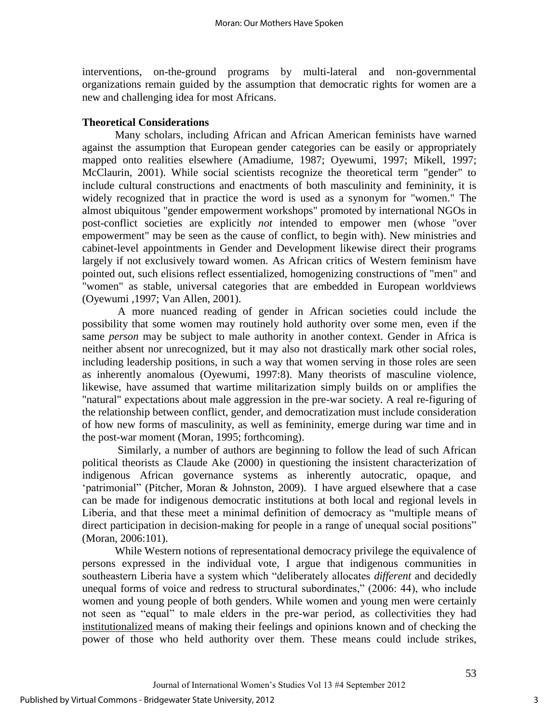interventions, on-the-ground programs by multi-lateral and non-governmental organizations remain guided by the assumption that democratic rights for women are a new and challenging idea for most Africans.

#### **Theoretical Considerations**

 Many scholars, including African and African American feminists have warned against the assumption that European gender categories can be easily or appropriately mapped onto realities elsewhere (Amadiume, 1987; Oyewumi, 1997; Mikell, 1997; McClaurin, 2001). While social scientists recognize the theoretical term "gender" to include cultural constructions and enactments of both masculinity and femininity, it is widely recognized that in practice the word is used as a synonym for "women." The almost ubiquitous "gender empowerment workshops" promoted by international NGOs in post-conflict societies are explicitly *not* intended to empower men (whose "over empowerment" may be seen as the cause of conflict, to begin with). New ministries and cabinet-level appointments in Gender and Development likewise direct their programs largely if not exclusively toward women. As African critics of Western feminism have pointed out, such elisions reflect essentialized, homogenizing constructions of "men" and "women" as stable, universal categories that are embedded in European worldviews (Oyewumi ,1997; Van Allen, 2001).

A more nuanced reading of gender in African societies could include the possibility that some women may routinely hold authority over some men, even if the same *person* may be subject to male authority in another context. Gender in Africa is neither absent nor unrecognized, but it may also not drastically mark other social roles, including leadership positions, in such a way that women serving in those roles are seen as inherently anomalous (Oyewumi, 1997:8). Many theorists of masculine violence, likewise, have assumed that wartime militarization simply builds on or amplifies the "natural" expectations about male aggression in the pre-war society. A real re-figuring of the relationship between conflict, gender, and democratization must include consideration of how new forms of masculinity, as well as femininity, emerge during war time and in the post-war moment (Moran, 1995; forthcoming).

 Similarly, a number of authors are beginning to follow the lead of such African political theorists as Claude Ake (2000) in questioning the insistent characterization of indigenous African governance systems as inherently autocratic, opaque, and 'patrimonial'' (Pitcher, Moran & Johnston, 2009). I have argued elsewhere that a case can be made for indigenous democratic institutions at both local and regional levels in Liberia, and that these meet a minimal definition of democracy as "multiple means of direct participation in decision-making for people in a range of unequal social positions" (Moran, 2006:101).

While Western notions of representational democracy privilege the equivalence of persons expressed in the individual vote, I argue that indigenous communities in southeastern Liberia have a system which "deliberately allocates *different* and decidedly unequal forms of voice and redress to structural subordinates," (2006: 44), who include women and young people of both genders. While women and young men were certainly not seen as "equal" to male elders in the pre-war period, as collectivities they had institutionalized means of making their feelings and opinions known and of checking the power of those who held authority over them. These means could include strikes,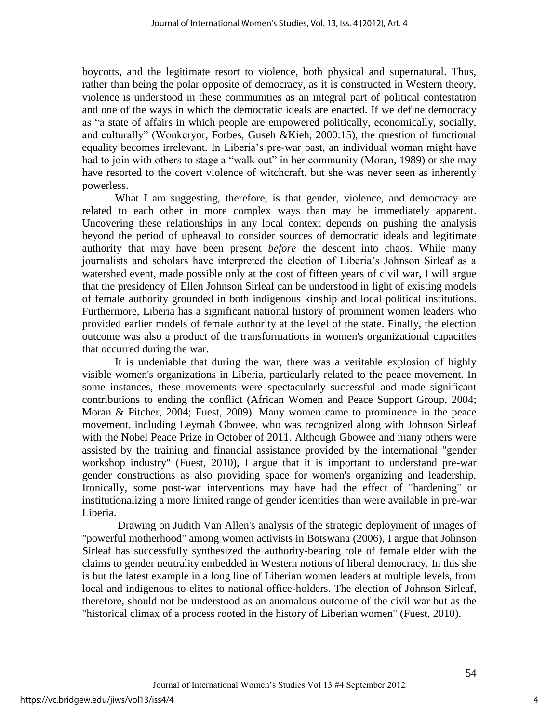boycotts, and the legitimate resort to violence, both physical and supernatural. Thus, rather than being the polar opposite of democracy, as it is constructed in Western theory, violence is understood in these communities as an integral part of political contestation and one of the ways in which the democratic ideals are enacted. If we define democracy as "a state of affairs in which people are empowered politically, economically, socially, and culturally" (Wonkeryor, Forbes, Guseh &Kieh, 2000:15), the question of functional equality becomes irrelevant. In Liberia"s pre-war past, an individual woman might have had to join with others to stage a "walk out" in her community (Moran, 1989) or she may have resorted to the covert violence of witchcraft, but she was never seen as inherently powerless.

What I am suggesting, therefore, is that gender, violence, and democracy are related to each other in more complex ways than may be immediately apparent. Uncovering these relationships in any local context depends on pushing the analysis beyond the period of upheaval to consider sources of democratic ideals and legitimate authority that may have been present *before* the descent into chaos. While many journalists and scholars have interpreted the election of Liberia"s Johnson Sirleaf as a watershed event, made possible only at the cost of fifteen years of civil war, I will argue that the presidency of Ellen Johnson Sirleaf can be understood in light of existing models of female authority grounded in both indigenous kinship and local political institutions. Furthermore, Liberia has a significant national history of prominent women leaders who provided earlier models of female authority at the level of the state. Finally, the election outcome was also a product of the transformations in women's organizational capacities that occurred during the war.

It is undeniable that during the war, there was a veritable explosion of highly visible women's organizations in Liberia, particularly related to the peace movement. In some instances, these movements were spectacularly successful and made significant contributions to ending the conflict (African Women and Peace Support Group, 2004; Moran & Pitcher, 2004; Fuest, 2009). Many women came to prominence in the peace movement, including Leymah Gbowee, who was recognized along with Johnson Sirleaf with the Nobel Peace Prize in October of 2011. Although Gbowee and many others were assisted by the training and financial assistance provided by the international "gender workshop industry" (Fuest, 2010), I argue that it is important to understand pre-war gender constructions as also providing space for women's organizing and leadership. Ironically, some post-war interventions may have had the effect of "hardening" or institutionalizing a more limited range of gender identities than were available in pre-war Liberia.

Drawing on Judith Van Allen's analysis of the strategic deployment of images of "powerful motherhood" among women activists in Botswana (2006), I argue that Johnson Sirleaf has successfully synthesized the authority-bearing role of female elder with the claims to gender neutrality embedded in Western notions of liberal democracy. In this she is but the latest example in a long line of Liberian women leaders at multiple levels, from local and indigenous to elites to national office-holders. The election of Johnson Sirleaf, therefore, should not be understood as an anomalous outcome of the civil war but as the "historical climax of a process rooted in the history of Liberian women" (Fuest, 2010).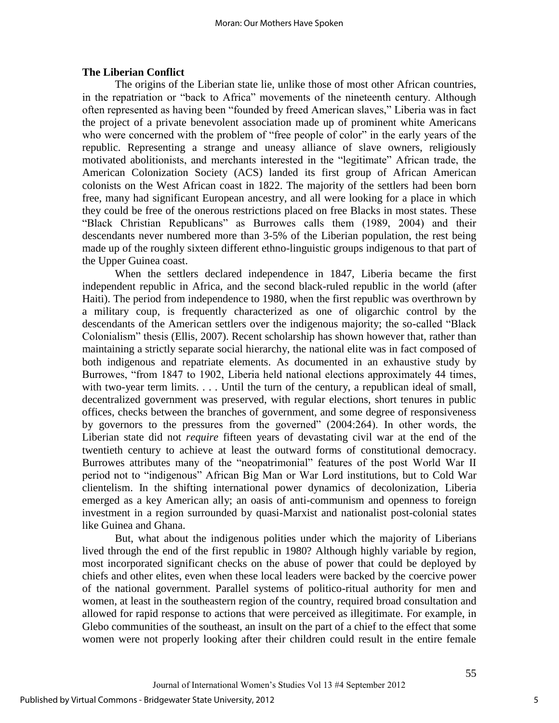### **The Liberian Conflict**

 The origins of the Liberian state lie, unlike those of most other African countries, in the repatriation or "back to Africa" movements of the nineteenth century. Although often represented as having been "founded by freed American slaves," Liberia was in fact the project of a private benevolent association made up of prominent white Americans who were concerned with the problem of "free people of color" in the early years of the republic. Representing a strange and uneasy alliance of slave owners, religiously motivated abolitionists, and merchants interested in the "legitimate" African trade, the American Colonization Society (ACS) landed its first group of African American colonists on the West African coast in 1822. The majority of the settlers had been born free, many had significant European ancestry, and all were looking for a place in which they could be free of the onerous restrictions placed on free Blacks in most states. These "Black Christian Republicans" as Burrowes calls them (1989, 2004) and their descendants never numbered more than 3-5% of the Liberian population, the rest being made up of the roughly sixteen different ethno-linguistic groups indigenous to that part of the Upper Guinea coast.

When the settlers declared independence in 1847, Liberia became the first independent republic in Africa, and the second black-ruled republic in the world (after Haiti). The period from independence to 1980, when the first republic was overthrown by a military coup, is frequently characterized as one of oligarchic control by the descendants of the American settlers over the indigenous majority; the so-called "Black Colonialism" thesis (Ellis, 2007). Recent scholarship has shown however that, rather than maintaining a strictly separate social hierarchy, the national elite was in fact composed of both indigenous and repatriate elements. As documented in an exhaustive study by Burrowes, "from 1847 to 1902, Liberia held national elections approximately 44 times, with two-year term limits. . . . Until the turn of the century, a republican ideal of small, decentralized government was preserved, with regular elections, short tenures in public offices, checks between the branches of government, and some degree of responsiveness by governors to the pressures from the governed" (2004:264). In other words, the Liberian state did not *require* fifteen years of devastating civil war at the end of the twentieth century to achieve at least the outward forms of constitutional democracy. Burrowes attributes many of the "neopatrimonial" features of the post World War II period not to "indigenous" African Big Man or War Lord institutions, but to Cold War clientelism. In the shifting international power dynamics of decolonization, Liberia emerged as a key American ally; an oasis of anti-communism and openness to foreign investment in a region surrounded by quasi-Marxist and nationalist post-colonial states like Guinea and Ghana.

 But, what about the indigenous polities under which the majority of Liberians lived through the end of the first republic in 1980? Although highly variable by region, most incorporated significant checks on the abuse of power that could be deployed by chiefs and other elites, even when these local leaders were backed by the coercive power of the national government. Parallel systems of politico-ritual authority for men and women, at least in the southeastern region of the country, required broad consultation and allowed for rapid response to actions that were perceived as illegitimate. For example, in Glebo communities of the southeast, an insult on the part of a chief to the effect that some women were not properly looking after their children could result in the entire female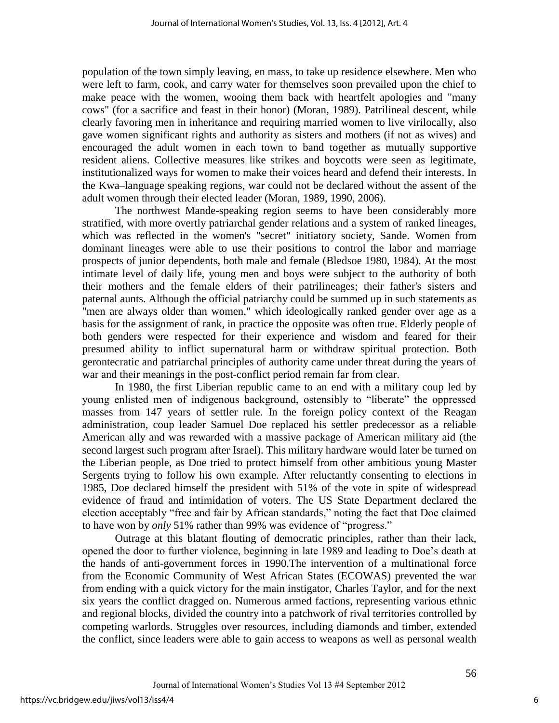population of the town simply leaving, en mass, to take up residence elsewhere. Men who were left to farm, cook, and carry water for themselves soon prevailed upon the chief to make peace with the women, wooing them back with heartfelt apologies and "many cows" (for a sacrifice and feast in their honor) (Moran, 1989). Patrilineal descent, while clearly favoring men in inheritance and requiring married women to live virilocally, also gave women significant rights and authority as sisters and mothers (if not as wives) and encouraged the adult women in each town to band together as mutually supportive resident aliens. Collective measures like strikes and boycotts were seen as legitimate, institutionalized ways for women to make their voices heard and defend their interests. In the Kwa–language speaking regions, war could not be declared without the assent of the adult women through their elected leader (Moran, 1989, 1990, 2006).

The northwest Mande-speaking region seems to have been considerably more stratified, with more overtly patriarchal gender relations and a system of ranked lineages, which was reflected in the women's "secret" initiatory society, Sande. Women from dominant lineages were able to use their positions to control the labor and marriage prospects of junior dependents, both male and female (Bledsoe 1980, 1984). At the most intimate level of daily life, young men and boys were subject to the authority of both their mothers and the female elders of their patrilineages; their father's sisters and paternal aunts. Although the official patriarchy could be summed up in such statements as "men are always older than women," which ideologically ranked gender over age as a basis for the assignment of rank, in practice the opposite was often true. Elderly people of both genders were respected for their experience and wisdom and feared for their presumed ability to inflict supernatural harm or withdraw spiritual protection. Both gerontecratic and patriarchal principles of authority came under threat during the years of war and their meanings in the post-conflict period remain far from clear.

 In 1980, the first Liberian republic came to an end with a military coup led by young enlisted men of indigenous background, ostensibly to "liberate" the oppressed masses from 147 years of settler rule. In the foreign policy context of the Reagan administration, coup leader Samuel Doe replaced his settler predecessor as a reliable American ally and was rewarded with a massive package of American military aid (the second largest such program after Israel). This military hardware would later be turned on the Liberian people, as Doe tried to protect himself from other ambitious young Master Sergents trying to follow his own example. After reluctantly consenting to elections in 1985, Doe declared himself the president with 51% of the vote in spite of widespread evidence of fraud and intimidation of voters. The US State Department declared the election acceptably "free and fair by African standards," noting the fact that Doe claimed to have won by *only* 51% rather than 99% was evidence of "progress."

 Outrage at this blatant flouting of democratic principles, rather than their lack, opened the door to further violence, beginning in late 1989 and leading to Doe"s death at the hands of anti-government forces in 1990.The intervention of a multinational force from the Economic Community of West African States (ECOWAS) prevented the war from ending with a quick victory for the main instigator, Charles Taylor, and for the next six years the conflict dragged on. Numerous armed factions, representing various ethnic and regional blocks, divided the country into a patchwork of rival territories controlled by competing warlords. Struggles over resources, including diamonds and timber, extended the conflict, since leaders were able to gain access to weapons as well as personal wealth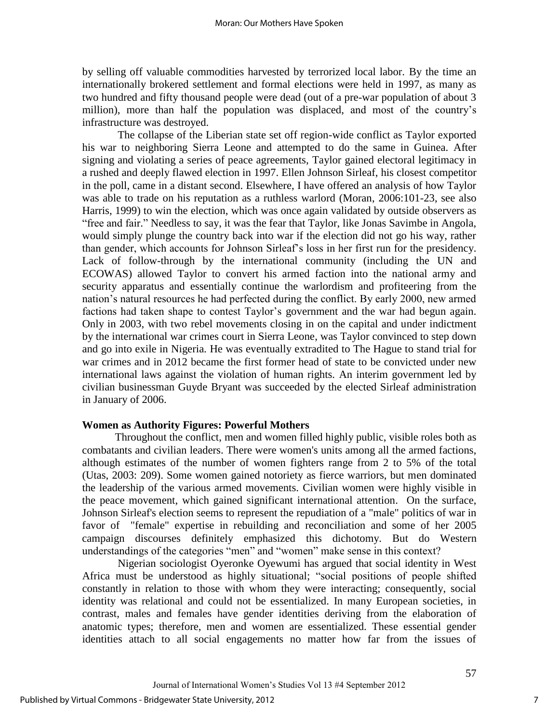by selling off valuable commodities harvested by terrorized local labor. By the time an internationally brokered settlement and formal elections were held in 1997, as many as two hundred and fifty thousand people were dead (out of a pre-war population of about 3 million), more than half the population was displaced, and most of the country"s infrastructure was destroyed.

The collapse of the Liberian state set off region-wide conflict as Taylor exported his war to neighboring Sierra Leone and attempted to do the same in Guinea. After signing and violating a series of peace agreements, Taylor gained electoral legitimacy in a rushed and deeply flawed election in 1997. Ellen Johnson Sirleaf, his closest competitor in the poll, came in a distant second. Elsewhere, I have offered an analysis of how Taylor was able to trade on his reputation as a ruthless warlord (Moran, 2006:101-23, see also Harris, 1999) to win the election, which was once again validated by outside observers as "free and fair." Needless to say, it was the fear that Taylor, like Jonas Savimbe in Angola, would simply plunge the country back into war if the election did not go his way, rather than gender, which accounts for Johnson Sirleaf"s loss in her first run for the presidency. Lack of follow-through by the international community (including the UN and ECOWAS) allowed Taylor to convert his armed faction into the national army and security apparatus and essentially continue the warlordism and profiteering from the nation"s natural resources he had perfected during the conflict. By early 2000, new armed factions had taken shape to contest Taylor's government and the war had begun again. Only in 2003, with two rebel movements closing in on the capital and under indictment by the international war crimes court in Sierra Leone, was Taylor convinced to step down and go into exile in Nigeria. He was eventually extradited to The Hague to stand trial for war crimes and in 2012 became the first former head of state to be convicted under new international laws against the violation of human rights. An interim government led by civilian businessman Guyde Bryant was succeeded by the elected Sirleaf administration in January of 2006.

#### **Women as Authority Figures: Powerful Mothers**

 Throughout the conflict, men and women filled highly public, visible roles both as combatants and civilian leaders. There were women's units among all the armed factions, although estimates of the number of women fighters range from 2 to 5% of the total (Utas, 2003: 209). Some women gained notoriety as fierce warriors, but men dominated the leadership of the various armed movements. Civilian women were highly visible in the peace movement, which gained significant international attention. On the surface, Johnson Sirleaf's election seems to represent the repudiation of a "male" politics of war in favor of "female" expertise in rebuilding and reconciliation and some of her 2005 campaign discourses definitely emphasized this dichotomy. But do Western understandings of the categories "men" and "women" make sense in this context?

Nigerian sociologist Oyeronke Oyewumi has argued that social identity in West Africa must be understood as highly situational; "social positions of people shifted constantly in relation to those with whom they were interacting; consequently, social identity was relational and could not be essentialized. In many European societies, in contrast, males and females have gender identities deriving from the elaboration of anatomic types; therefore, men and women are essentialized. These essential gender identities attach to all social engagements no matter how far from the issues of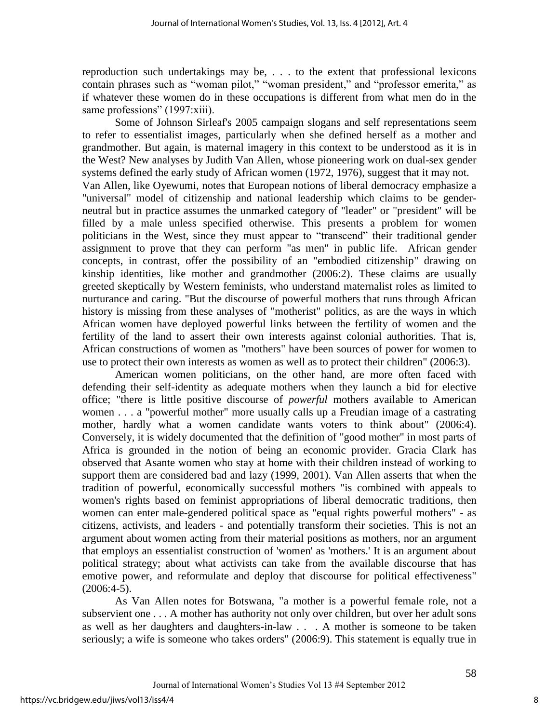reproduction such undertakings may be, . . . to the extent that professional lexicons contain phrases such as "woman pilot," "woman president," and "professor emerita," as if whatever these women do in these occupations is different from what men do in the same professions" (1997:xiii).

Some of Johnson Sirleaf's 2005 campaign slogans and self representations seem to refer to essentialist images, particularly when she defined herself as a mother and grandmother. But again, is maternal imagery in this context to be understood as it is in the West? New analyses by Judith Van Allen, whose pioneering work on dual-sex gender systems defined the early study of African women (1972, 1976), suggest that it may not. Van Allen, like Oyewumi, notes that European notions of liberal democracy emphasize a "universal" model of citizenship and national leadership which claims to be genderneutral but in practice assumes the unmarked category of "leader" or "president" will be filled by a male unless specified otherwise. This presents a problem for women politicians in the West, since they must appear to "transcend" their traditional gender assignment to prove that they can perform "as men" in public life. African gender concepts, in contrast, offer the possibility of an "embodied citizenship" drawing on kinship identities, like mother and grandmother (2006:2). These claims are usually greeted skeptically by Western feminists, who understand maternalist roles as limited to nurturance and caring. "But the discourse of powerful mothers that runs through African history is missing from these analyses of "motherist" politics, as are the ways in which African women have deployed powerful links between the fertility of women and the fertility of the land to assert their own interests against colonial authorities. That is, African constructions of women as "mothers" have been sources of power for women to use to protect their own interests as women as well as to protect their children" (2006:3).

American women politicians, on the other hand, are more often faced with defending their self-identity as adequate mothers when they launch a bid for elective office; "there is little positive discourse of *powerful* mothers available to American women . . . a "powerful mother" more usually calls up a Freudian image of a castrating mother, hardly what a women candidate wants voters to think about" (2006:4). Conversely, it is widely documented that the definition of "good mother" in most parts of Africa is grounded in the notion of being an economic provider. Gracia Clark has observed that Asante women who stay at home with their children instead of working to support them are considered bad and lazy (1999, 2001). Van Allen asserts that when the tradition of powerful, economically successful mothers "is combined with appeals to women's rights based on feminist appropriations of liberal democratic traditions, then women can enter male-gendered political space as "equal rights powerful mothers" - as citizens, activists, and leaders - and potentially transform their societies. This is not an argument about women acting from their material positions as mothers, nor an argument that employs an essentialist construction of 'women' as 'mothers.' It is an argument about political strategy; about what activists can take from the available discourse that has emotive power, and reformulate and deploy that discourse for political effectiveness"  $(2006:4-5)$ .

 As Van Allen notes for Botswana, "a mother is a powerful female role, not a subservient one . . . A mother has authority not only over children, but over her adult sons as well as her daughters and daughters-in-law . . . A mother is someone to be taken seriously; a wife is someone who takes orders" (2006:9). This statement is equally true in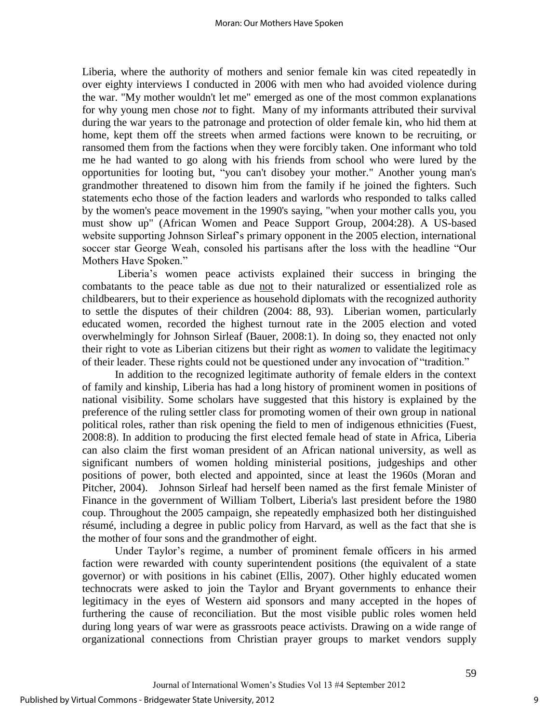Liberia, where the authority of mothers and senior female kin was cited repeatedly in over eighty interviews I conducted in 2006 with men who had avoided violence during the war. "My mother wouldn't let me" emerged as one of the most common explanations for why young men chose *not* to fight. Many of my informants attributed their survival during the war years to the patronage and protection of older female kin, who hid them at home, kept them off the streets when armed factions were known to be recruiting, or ransomed them from the factions when they were forcibly taken. One informant who told me he had wanted to go along with his friends from school who were lured by the opportunities for looting but, "you can't disobey your mother." Another young man's grandmother threatened to disown him from the family if he joined the fighters. Such statements echo those of the faction leaders and warlords who responded to talks called by the women's peace movement in the 1990's saying, "when your mother calls you, you must show up" (African Women and Peace Support Group, 2004:28). A US-based website supporting Johnson Sirleaf"s primary opponent in the 2005 election, international soccer star George Weah, consoled his partisans after the loss with the headline "Our Mothers Have Spoken."

Liberia"s women peace activists explained their success in bringing the combatants to the peace table as due not to their naturalized or essentialized role as childbearers, but to their experience as household diplomats with the recognized authority to settle the disputes of their children (2004: 88, 93). Liberian women, particularly educated women, recorded the highest turnout rate in the 2005 election and voted overwhelmingly for Johnson Sirleaf (Bauer, 2008:1). In doing so, they enacted not only their right to vote as Liberian citizens but their right as *women* to validate the legitimacy of their leader. These rights could not be questioned under any invocation of "tradition."

 In addition to the recognized legitimate authority of female elders in the context of family and kinship, Liberia has had a long history of prominent women in positions of national visibility. Some scholars have suggested that this history is explained by the preference of the ruling settler class for promoting women of their own group in national political roles, rather than risk opening the field to men of indigenous ethnicities (Fuest, 2008:8). In addition to producing the first elected female head of state in Africa, Liberia can also claim the first woman president of an African national university, as well as significant numbers of women holding ministerial positions, judgeships and other positions of power, both elected and appointed, since at least the 1960s (Moran and Pitcher, 2004). Johnson Sirleaf had herself been named as the first female Minister of Finance in the government of William Tolbert, Liberia's last president before the 1980 coup. Throughout the 2005 campaign, she repeatedly emphasized both her distinguished résumé, including a degree in public policy from Harvard, as well as the fact that she is the mother of four sons and the grandmother of eight.

Under Taylor's regime, a number of prominent female officers in his armed faction were rewarded with county superintendent positions (the equivalent of a state governor) or with positions in his cabinet (Ellis, 2007). Other highly educated women technocrats were asked to join the Taylor and Bryant governments to enhance their legitimacy in the eyes of Western aid sponsors and many accepted in the hopes of furthering the cause of reconciliation. But the most visible public roles women held during long years of war were as grassroots peace activists. Drawing on a wide range of organizational connections from Christian prayer groups to market vendors supply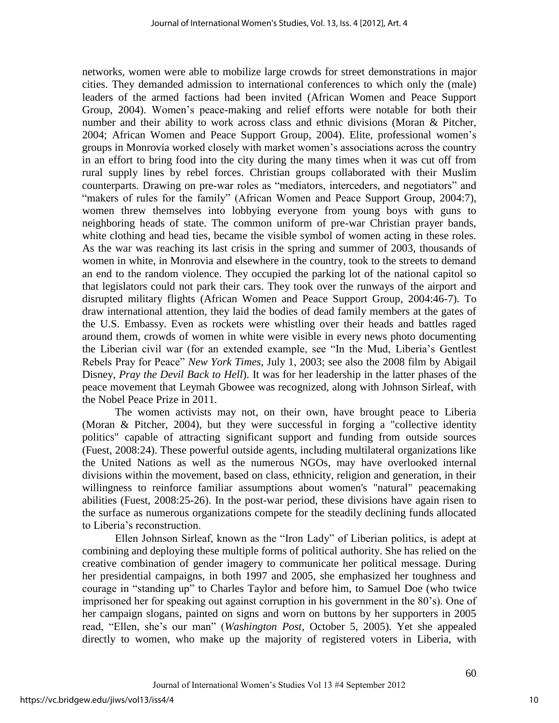networks, women were able to mobilize large crowds for street demonstrations in major cities. They demanded admission to international conferences to which only the (male) leaders of the armed factions had been invited (African Women and Peace Support Group, 2004). Women"s peace-making and relief efforts were notable for both their number and their ability to work across class and ethnic divisions (Moran & Pitcher, 2004; African Women and Peace Support Group, 2004). Elite, professional women"s groups in Monrovia worked closely with market women"s associations across the country in an effort to bring food into the city during the many times when it was cut off from rural supply lines by rebel forces. Christian groups collaborated with their Muslim counterparts. Drawing on pre-war roles as "mediators, interceders, and negotiators" and "makers of rules for the family" (African Women and Peace Support Group, 2004:7), women threw themselves into lobbying everyone from young boys with guns to neighboring heads of state. The common uniform of pre-war Christian prayer bands, white clothing and head ties, became the visible symbol of women acting in these roles. As the war was reaching its last crisis in the spring and summer of 2003, thousands of women in white, in Monrovia and elsewhere in the country, took to the streets to demand an end to the random violence. They occupied the parking lot of the national capitol so that legislators could not park their cars. They took over the runways of the airport and disrupted military flights (African Women and Peace Support Group, 2004:46-7). To draw international attention, they laid the bodies of dead family members at the gates of the U.S. Embassy. Even as rockets were whistling over their heads and battles raged around them, crowds of women in white were visible in every news photo documenting the Liberian civil war (for an extended example, see "In the Mud, Liberia"s Gentlest Rebels Pray for Peace" *New York Times*, July 1, 2003; see also the 2008 film by Abigail Disney, *Pray the Devil Back to Hell*). It was for her leadership in the latter phases of the peace movement that Leymah Gbowee was recognized, along with Johnson Sirleaf, with the Nobel Peace Prize in 2011.

The women activists may not, on their own, have brought peace to Liberia (Moran & Pitcher, 2004), but they were successful in forging a "collective identity politics" capable of attracting significant support and funding from outside sources (Fuest, 2008:24). These powerful outside agents, including multilateral organizations like the United Nations as well as the numerous NGOs, may have overlooked internal divisions within the movement, based on class, ethnicity, religion and generation, in their willingness to reinforce familiar assumptions about women's "natural" peacemaking abilities (Fuest, 2008:25-26). In the post-war period, these divisions have again risen to the surface as numerous organizations compete for the steadily declining funds allocated to Liberia"s reconstruction.

Ellen Johnson Sirleaf, known as the "Iron Lady" of Liberian politics, is adept at combining and deploying these multiple forms of political authority. She has relied on the creative combination of gender imagery to communicate her political message. During her presidential campaigns, in both 1997 and 2005, she emphasized her toughness and courage in "standing up" to Charles Taylor and before him, to Samuel Doe (who twice imprisoned her for speaking out against corruption in his government in the 80"s). One of her campaign slogans, painted on signs and worn on buttons by her supporters in 2005 read, "Ellen, she's our man" (*Washington Post*, October 5, 2005). Yet she appealed directly to women, who make up the majority of registered voters in Liberia, with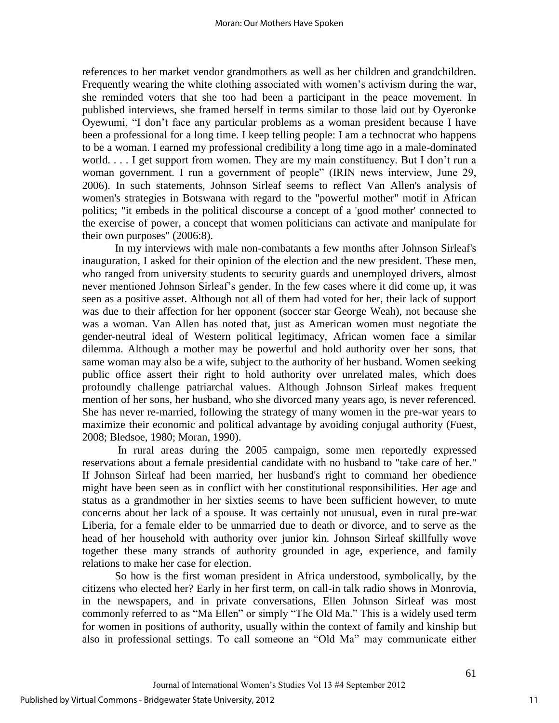references to her market vendor grandmothers as well as her children and grandchildren. Frequently wearing the white clothing associated with women's activism during the war, she reminded voters that she too had been a participant in the peace movement. In published interviews, she framed herself in terms similar to those laid out by Oyeronke Oyewumi, "I don"t face any particular problems as a woman president because I have been a professional for a long time. I keep telling people: I am a technocrat who happens to be a woman. I earned my professional credibility a long time ago in a male-dominated world. . . . I get support from women. They are my main constituency. But I don't run a woman government. I run a government of people" (IRIN news interview, June 29, 2006). In such statements, Johnson Sirleaf seems to reflect Van Allen's analysis of women's strategies in Botswana with regard to the "powerful mother" motif in African politics; "it embeds in the political discourse a concept of a 'good mother' connected to the exercise of power, a concept that women politicians can activate and manipulate for their own purposes" (2006:8).

 In my interviews with male non-combatants a few months after Johnson Sirleaf's inauguration, I asked for their opinion of the election and the new president. These men, who ranged from university students to security guards and unemployed drivers, almost never mentioned Johnson Sirleaf"s gender. In the few cases where it did come up, it was seen as a positive asset. Although not all of them had voted for her, their lack of support was due to their affection for her opponent (soccer star George Weah), not because she was a woman. Van Allen has noted that, just as American women must negotiate the gender-neutral ideal of Western political legitimacy, African women face a similar dilemma. Although a mother may be powerful and hold authority over her sons, that same woman may also be a wife, subject to the authority of her husband. Women seeking public office assert their right to hold authority over unrelated males, which does profoundly challenge patriarchal values. Although Johnson Sirleaf makes frequent mention of her sons, her husband, who she divorced many years ago, is never referenced. She has never re-married, following the strategy of many women in the pre-war years to maximize their economic and political advantage by avoiding conjugal authority (Fuest, 2008; Bledsoe, 1980; Moran, 1990).

 In rural areas during the 2005 campaign, some men reportedly expressed reservations about a female presidential candidate with no husband to "take care of her." If Johnson Sirleaf had been married, her husband's right to command her obedience might have been seen as in conflict with her constitutional responsibilities. Her age and status as a grandmother in her sixties seems to have been sufficient however, to mute concerns about her lack of a spouse. It was certainly not unusual, even in rural pre-war Liberia, for a female elder to be unmarried due to death or divorce, and to serve as the head of her household with authority over junior kin. Johnson Sirleaf skillfully wove together these many strands of authority grounded in age, experience, and family relations to make her case for election.

So how is the first woman president in Africa understood, symbolically, by the citizens who elected her? Early in her first term, on call-in talk radio shows in Monrovia, in the newspapers, and in private conversations, Ellen Johnson Sirleaf was most commonly referred to as "Ma Ellen" or simply "The Old Ma." This is a widely used term for women in positions of authority, usually within the context of family and kinship but also in professional settings. To call someone an "Old Ma" may communicate either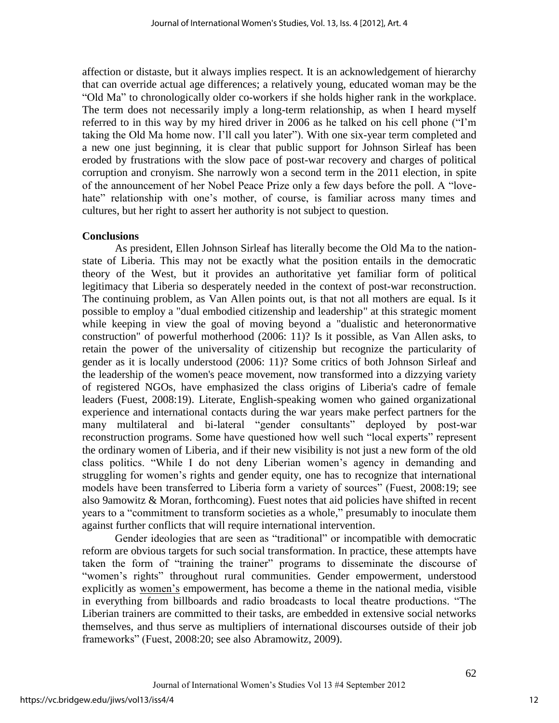affection or distaste, but it always implies respect. It is an acknowledgement of hierarchy that can override actual age differences; a relatively young, educated woman may be the "Old Ma" to chronologically older co-workers if she holds higher rank in the workplace. The term does not necessarily imply a long-term relationship, as when I heard myself referred to in this way by my hired driver in 2006 as he talked on his cell phone ("I"m taking the Old Ma home now. I"ll call you later"). With one six-year term completed and a new one just beginning, it is clear that public support for Johnson Sirleaf has been eroded by frustrations with the slow pace of post-war recovery and charges of political corruption and cronyism. She narrowly won a second term in the 2011 election, in spite of the announcement of her Nobel Peace Prize only a few days before the poll. A "lovehate" relationship with one's mother, of course, is familiar across many times and cultures, but her right to assert her authority is not subject to question.

## **Conclusions**

 As president, Ellen Johnson Sirleaf has literally become the Old Ma to the nationstate of Liberia. This may not be exactly what the position entails in the democratic theory of the West, but it provides an authoritative yet familiar form of political legitimacy that Liberia so desperately needed in the context of post-war reconstruction. The continuing problem, as Van Allen points out, is that not all mothers are equal. Is it possible to employ a "dual embodied citizenship and leadership" at this strategic moment while keeping in view the goal of moving beyond a "dualistic and heteronormative construction" of powerful motherhood (2006: 11)? Is it possible, as Van Allen asks, to retain the power of the universality of citizenship but recognize the particularity of gender as it is locally understood (2006: 11)? Some critics of both Johnson Sirleaf and the leadership of the women's peace movement, now transformed into a dizzying variety of registered NGOs, have emphasized the class origins of Liberia's cadre of female leaders (Fuest, 2008:19). Literate, English-speaking women who gained organizational experience and international contacts during the war years make perfect partners for the many multilateral and bi-lateral "gender consultants" deployed by post-war reconstruction programs. Some have questioned how well such "local experts" represent the ordinary women of Liberia, and if their new visibility is not just a new form of the old class politics. "While I do not deny Liberian women"s agency in demanding and struggling for women's rights and gender equity, one has to recognize that international models have been transferred to Liberia form a variety of sources" (Fuest, 2008:19; see also 9amowitz & Moran, forthcoming). Fuest notes that aid policies have shifted in recent years to a "commitment to transform societies as a whole," presumably to inoculate them against further conflicts that will require international intervention.

Gender ideologies that are seen as "traditional" or incompatible with democratic reform are obvious targets for such social transformation. In practice, these attempts have taken the form of "training the trainer" programs to disseminate the discourse of "women"s rights" throughout rural communities. Gender empowerment, understood explicitly as women"s empowerment, has become a theme in the national media, visible in everything from billboards and radio broadcasts to local theatre productions. "The Liberian trainers are committed to their tasks, are embedded in extensive social networks themselves, and thus serve as multipliers of international discourses outside of their job frameworks" (Fuest, 2008:20; see also Abramowitz, 2009).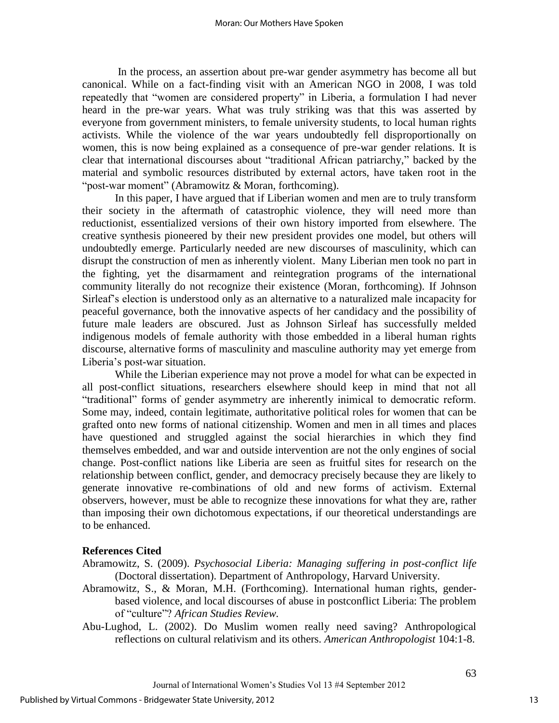In the process, an assertion about pre-war gender asymmetry has become all but canonical. While on a fact-finding visit with an American NGO in 2008, I was told repeatedly that "women are considered property" in Liberia, a formulation I had never heard in the pre-war years. What was truly striking was that this was asserted by everyone from government ministers, to female university students, to local human rights activists. While the violence of the war years undoubtedly fell disproportionally on women, this is now being explained as a consequence of pre-war gender relations. It is clear that international discourses about "traditional African patriarchy," backed by the material and symbolic resources distributed by external actors, have taken root in the "post-war moment" (Abramowitz & Moran, forthcoming).

 In this paper, I have argued that if Liberian women and men are to truly transform their society in the aftermath of catastrophic violence, they will need more than reductionist, essentialized versions of their own history imported from elsewhere. The creative synthesis pioneered by their new president provides one model, but others will undoubtedly emerge. Particularly needed are new discourses of masculinity, which can disrupt the construction of men as inherently violent. Many Liberian men took no part in the fighting, yet the disarmament and reintegration programs of the international community literally do not recognize their existence (Moran, forthcoming). If Johnson Sirleaf"s election is understood only as an alternative to a naturalized male incapacity for peaceful governance, both the innovative aspects of her candidacy and the possibility of future male leaders are obscured. Just as Johnson Sirleaf has successfully melded indigenous models of female authority with those embedded in a liberal human rights discourse, alternative forms of masculinity and masculine authority may yet emerge from Liberia"s post-war situation.

 While the Liberian experience may not prove a model for what can be expected in all post-conflict situations, researchers elsewhere should keep in mind that not all "traditional" forms of gender asymmetry are inherently inimical to democratic reform. Some may, indeed, contain legitimate, authoritative political roles for women that can be grafted onto new forms of national citizenship. Women and men in all times and places have questioned and struggled against the social hierarchies in which they find themselves embedded, and war and outside intervention are not the only engines of social change. Post-conflict nations like Liberia are seen as fruitful sites for research on the relationship between conflict, gender, and democracy precisely because they are likely to generate innovative re-combinations of old and new forms of activism. External observers, however, must be able to recognize these innovations for what they are, rather than imposing their own dichotomous expectations, if our theoretical understandings are to be enhanced.

## **References Cited**

Abramowitz, S. (2009). *Psychosocial Liberia: Managing suffering in post-conflict life* (Doctoral dissertation). Department of Anthropology, Harvard University.

- Abramowitz, S., & Moran, M.H. (Forthcoming). International human rights, genderbased violence, and local discourses of abuse in postconflict Liberia: The problem of "culture"? *African Studies Review.*
- Abu-Lughod, L. (2002). Do Muslim women really need saving? Anthropological reflections on cultural relativism and its others. *American Anthropologist* 104:1-8.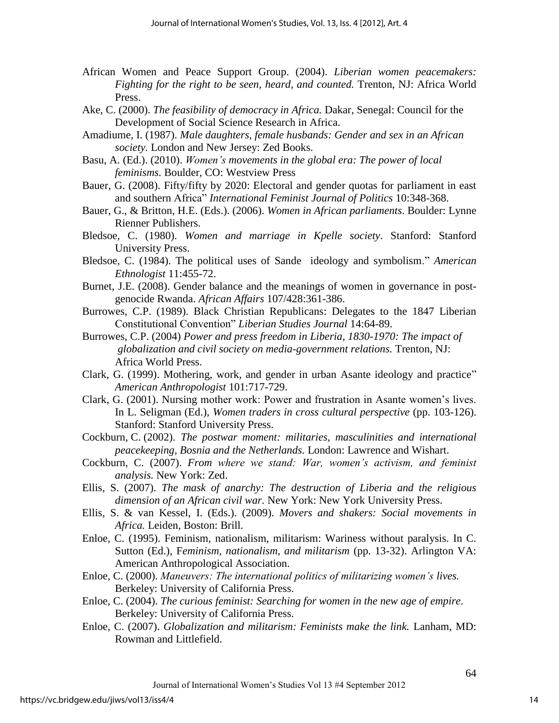- African Women and Peace Support Group. (2004). *Liberian women peacemakers: Fighting for the right to be seen, heard, and counted.* Trenton, NJ: Africa World Press.
- Ake, C. (2000). *The feasibility of democracy in Africa.* Dakar, Senegal: Council for the Development of Social Science Research in Africa.
- Amadiume, I. (1987). *Male daughters, female husbands: Gender and sex in an African society.* London and New Jersey: Zed Books.
- Basu, A. (Ed.). (2010). *Women's movements in the global era: The power of local feminisms.* Boulder, CO: Westview Press
- Bauer, G. (2008). Fifty/fifty by 2020: Electoral and gender quotas for parliament in east and southern Africa" *International Feminist Journal of Politics* 10:348-368.
- Bauer, G., & Britton, H.E. (Eds.). (2006). *Women in African parliaments*. Boulder: Lynne Rienner Publishers.
- Bledsoe, C. (1980). *Women and marriage in Kpelle society*. Stanford: Stanford University Press.
- Bledsoe, C. (1984). The political uses of Sande ideology and symbolism." *American Ethnologist* 11:455-72.
- Burnet, J.E. (2008). Gender balance and the meanings of women in governance in postgenocide Rwanda. *African Affairs* 107/428:361-386.
- Burrowes, C.P. (1989). Black Christian Republicans: Delegates to the 1847 Liberian Constitutional Convention" *Liberian Studies Journal* 14:64-89.
- Burrowes, C.P. (2004) *Power and press freedom in Liberia, 1830-1970: The impact of globalization and civil society on media-government relations.* Trenton, NJ: Africa World Press.
- Clark, G. (1999). Mothering, work, and gender in urban Asante ideology and practice" *American Anthropologist* 101:717-729.
- Clark, G. (2001). Nursing mother work: Power and frustration in Asante women"s lives. In L. Seligman (Ed.), *Women traders in cross cultural perspective* (pp. 103-126). Stanford: Stanford University Press.
- Cockburn, C. (2002). *The postwar moment: militaries, masculinities and international peacekeeping, Bosnia and the Netherlands.* London: Lawrence and Wishart.
- Cockburn, C. (2007). *From where we stand: War, women's activism, and feminist analysis.* New York: Zed.
- Ellis, S. (2007). *The mask of anarchy: The destruction of Liberia and the religious dimension of an African civil war.* New York: New York University Press.
- Ellis, S. & van Kessel, I. (Eds.). (2009). *Movers and shakers: Social movements in Africa.* Leiden, Boston: Brill.
- Enloe, C. (1995). Feminism, nationalism, militarism: Wariness without paralysis. In C. Sutton (Ed.), F*eminism, nationalism, and militarism* (pp. 13-32). Arlington VA: American Anthropological Association.
- Enloe, C. (2000). *Maneuvers: The international politics of militarizing women's lives.* Berkeley: University of California Press.
- Enloe, C. (2004). *The curious feminist: Searching for women in the new age of empire.*  Berkeley: University of California Press.
- Enloe, C. (2007). *Globalization and militarism: Feminists make the link.* Lanham, MD: Rowman and Littlefield.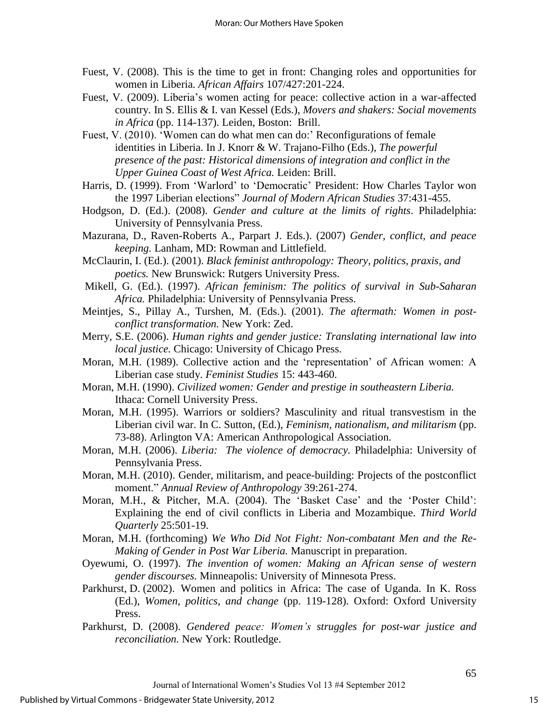- Fuest, V. (2008). This is the time to get in front: Changing roles and opportunities for women in Liberia. *African Affairs* 107/427:201-224.
- Fuest, V. (2009). Liberia's women acting for peace: collective action in a war-affected country. In S. Ellis & I. van Kessel (Eds.), *Movers and shakers: Social movements in Africa* (pp. 114-137). Leiden, Boston: Brill.
- Fuest, V. (2010). 'Women can do what men can do:' Reconfigurations of female identities in Liberia. In J. Knorr & W. Trajano-Filho (Eds.), *The powerful presence of the past: Historical dimensions of integration and conflict in the Upper Guinea Coast of West Africa.* Leiden: Brill.
- Harris, D. (1999). From "Warlord" to "Democratic" President: How Charles Taylor won the 1997 Liberian elections" *Journal of Modern African Studies* 37:431-455.
- Hodgson, D. (Ed.). (2008). *Gender and culture at the limits of rights*. Philadelphia: University of Pennsylvania Press.
- Mazurana, D., Raven-Roberts A., Parpart J. Eds.). (2007) *Gender, conflict, and peace keeping.* Lanham, MD: Rowman and Littlefield.
- McClaurin, I. (Ed.). (2001). *Black feminist anthropology: Theory, politics, praxis, and poetics.* New Brunswick: Rutgers University Press.
- Mikell, G. (Ed.). (1997). *African feminism: The politics of survival in Sub-Saharan Africa.* Philadelphia: University of Pennsylvania Press.
- Meintjes, S., Pillay A., Turshen, M. (Eds.). (2001). *The aftermath: Women in postconflict transformation.* New York: Zed.
- Merry, S.E. (2006). *Human rights and gender justice: Translating international law into local justice.* Chicago: University of Chicago Press.
- Moran, M.H. (1989). Collective action and the "representation" of African women: A Liberian case study. *Feminist Studies* 15: 443-460.
- Moran, M.H. (1990). *Civilized women: Gender and prestige in southeastern Liberia.* Ithaca: Cornell University Press.
- Moran, M.H. (1995). Warriors or soldiers? Masculinity and ritual transvestism in the Liberian civil war. In C. Sutton, (Ed.), *Feminism, nationalism, and militarism* (pp. 73-88). Arlington VA: American Anthropological Association.
- Moran, M.H. (2006). *Liberia: The violence of democracy.* Philadelphia: University of Pennsylvania Press.
- Moran, M.H. (2010). Gender, militarism, and peace-building: Projects of the postconflict moment." *Annual Review of Anthropology* 39:261-274.
- Moran, M.H., & Pitcher, M.A. (2004). The 'Basket Case' and the 'Poster Child': Explaining the end of civil conflicts in Liberia and Mozambique. *Third World Quarterly* 25:501-19.
- Moran, M.H. (forthcoming) *We Who Did Not Fight: Non-combatant Men and the Re-Making of Gender in Post War Liberia.* Manuscript in preparation.
- Oyewumi, O. (1997). *The invention of women: Making an African sense of western gender discourses.* Minneapolis: University of Minnesota Press.
- Parkhurst, D. (2002). Women and politics in Africa: The case of Uganda. In K. Ross (Ed.), *Women, politics, and change* (pp. 119-128). Oxford: Oxford University Press.
- Parkhurst, D. (2008). *Gendered peace: Women's struggles for post-war justice and reconciliation.* New York: Routledge.